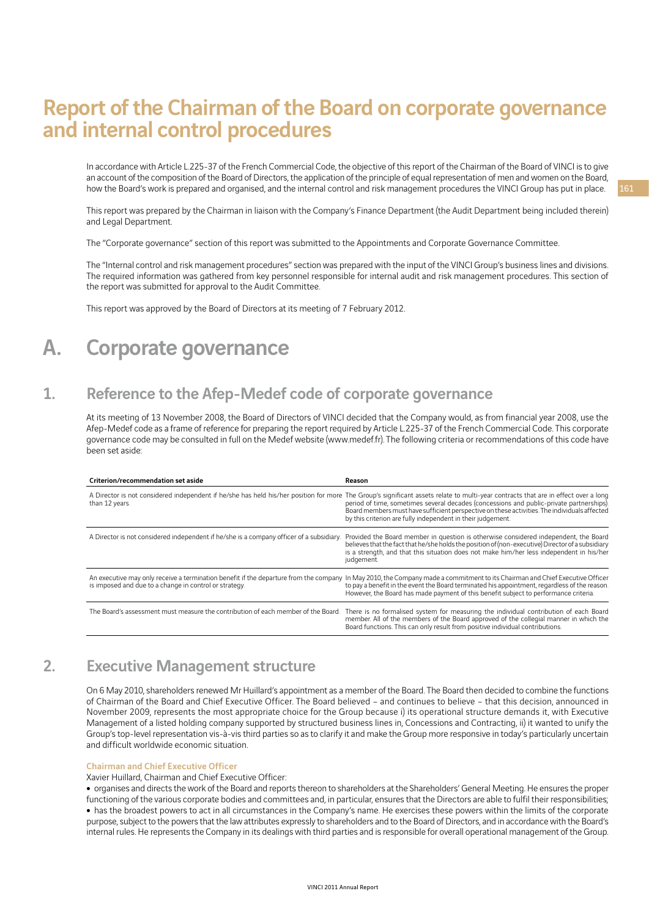# Report of the Chairman of the Board on corporate governance and internal control procedures

In accordance with Article L.225-37 of the French Commercial Code, the objective of this report of the Chairman of the Board of VINCI is to give an account of the composition of the Board of Directors, the application of the principle of equal representation of men and women on the Board. how the Board's work is prepared and organised, and the internal control and risk management procedures the VINCI Group has put in place.

This report was prepared by the Chairman in liaison with the Company's Finance Department (the Audit Department being included therein) and Legal Department.

The "Corporate governance" section of this report was submitted to the Appointments and Corporate Governance Committee.

The "Internal control and risk management procedures" section was prepared with the input of the VINCI Group's business lines and divisions. The required information was gathered from key personnel responsible for internal audit and risk management procedures. This section of the report was submitted for approval to the Audit Committee.

This report was approved by the Board of Directors at its meeting of 7 February 2012.

# A. Corporate governance

# 1. Reference to the Afep-Medef code of corporate governance

At its meeting of 13 November 2008, the Board of Directors of VINCI decided that the Company would, as from financial year 2008, use the Afep-Medef code as a frame of reference for preparing the report required by Article L.225-37 of the French Commercial Code. This corporate governance code may be consulted in full on the Medef website (www.medef.fr). The following criteria or recommendations of this code have been set aside:

| Criterion/recommendation set aside                                                                      | Reason                                                                                                                                                                                                                                                                                                                                                                |
|---------------------------------------------------------------------------------------------------------|-----------------------------------------------------------------------------------------------------------------------------------------------------------------------------------------------------------------------------------------------------------------------------------------------------------------------------------------------------------------------|
| A Director is not considered independent if he/she has held his/her position for more<br>than 12 years. | The Group's significant assets relate to multi-year contracts that are in effect over a long<br>period of time, sometimes several decades (concessions and public-private partnerships).<br>Board members must have sufficient perspective on these activities. The individuals affected<br>by this criterion are fully independent in their judgement.               |
| A Director is not considered independent if he/she is a company officer of a subsidiary.                | Provided the Board member in question is otherwise considered independent, the Board<br>believes that the fact that he/she holds the position of (non-executive) Director of a subsidiary<br>is a strength, and that this situation does not make him/her less independent in his/her<br>judgement.                                                                   |
| is imposed and due to a change in control or strategy.                                                  | An executive may only receive a termination benefit if the departure from the company In May 2010, the Company made a commitment to its Chairman and Chief Executive Officer<br>to pay a benefit in the event the Board terminated his appointment, regardless of the reason.<br>However, the Board has made payment of this benefit subject to performance criteria. |
| The Board's assessment must measure the contribution of each member of the Board.                       | There is no formalised system for measuring the individual contribution of each Board<br>member. All of the members of the Board approved of the collegial manner in which the<br>Board functions. This can only result from positive individual contributions.                                                                                                       |

# 2. Executive Management structure

On 6 May 2010, shareholders renewed Mr Huillard's appointment as a member of the Board. The Board then decided to combine the functions of Chairman of the Board and Chief Executive Officer. The Board believed – and continues to believe – that this decision, announced in November 2009, represents the most appropriate choice for the Group because i) its operational structure demands it, with Executive Management of a listed holding company supported by structured business lines in, Concessions and Contracting, ii) it wanted to unify the Group's top-level representation vis-à-vis third parties so as to clarify it and make the Group more responsive in today's particularly uncertain and difficult worldwide economic situation.

#### Chairman and Chief Executive Officer

Xavier Huillard, Chairman and Chief Executive Officer:

<sup>ˇ</sup> organises and directs the work of the Board and reports thereon to shareholders at the Shareholders' General Meeting. He ensures the proper functioning of the various corporate bodies and committees and, in particular, ensures that the Directors are able to fulfil their responsibilities; • has the broadest powers to act in all circumstances in the Company's name. He exercises these powers within the limits of the corporate purpose, subject to the powers that the law attributes expressly to shareholders and to the Board of Directors, and in accordance with the Board's internal rules. He represents the Company in its dealings with third parties and is responsible for overall operational management of the Group.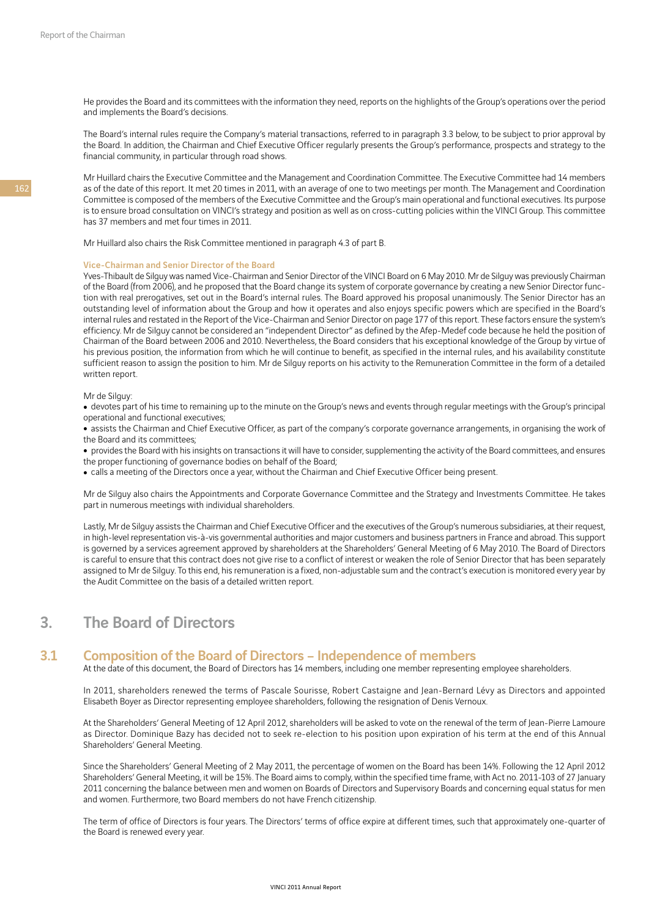He provides the Board and its committees with the information they need, reports on the highlights of the Group's operations over the period and implements the Board's decisions.

The Board's internal rules require the Company's material transactions, referred to in paragraph 3.3 below, to be subject to prior approval by the Board. In addition, the Chairman and Chief Executive Officer regularly presents the Group's performance, prospects and strategy to the financial community, in particular through road shows.

Mr Huillard chairs the Executive Committee and the Management and Coordination Committee. The Executive Committee had 14 members as of the date of this report. It met 20 times in 2011, with an average of one to two meetings per month. The Management and Coordination Committee is composed of the members of the Executive Committee and the Group's main operational and functional executives. Its purpose is to ensure broad consultation on VINCI's strategy and position as well as on cross-cutting policies within the VINCI Group. This committee has 37 members and met four times in 2011.

Mr Huillard also chairs the Risk Committee mentioned in paragraph 4.3 of part B.

#### Vice-Chairman and Senior Director of the Board

Yves-Thibault de Silguy was named Vice-Chairman and Senior Director of the VINCI Board on 6 May 2010. Mr de Silguy was previously Chairman of the Board (from 2006), and he proposed that the Board change its system of corporate governance by creating a new Senior Director function with real prerogatives, set out in the Board's internal rules. The Board approved his proposal unanimously. The Senior Director has an outstanding level of information about the Group and how it operates and also enjoys specific powers which are specified in the Board's internal rules and restated in the Report of the Vice-Chairman and Senior Director on page 177 of this report. These factors ensure the system's efficiency. Mr de Silguy cannot be considered an "independent Director" as defined by the Afep-Medef code because he held the position of Chairman of the Board between 2006 and 2010. Nevertheless, the Board considers that his exceptional knowledge of the Group by virtue of his previous position, the information from which he will continue to benefit, as specified in the internal rules, and his availability constitute sufficient reason to assign the position to him. Mr de Silguy reports on his activity to the Remuneration Committee in the form of a detailed written report.

#### Mr de Silguy:

• devotes part of his time to remaining up to the minute on the Group's news and events through regular meetings with the Group's principal operational and functional executives;

• assists the Chairman and Chief Executive Officer, as part of the company's corporate governance arrangements, in organising the work of the Board and its committees;

• provides the Board with his insights on transactions it will have to consider, supplementing the activity of the Board committees, and ensures the proper functioning of governance bodies on behalf of the Board;

• calls a meeting of the Directors once a year, without the Chairman and Chief Executive Officer being present.

Mr de Silguy also chairs the Appointments and Corporate Governance Committee and the Strategy and Investments Committee. He takes part in numerous meetings with individual shareholders.

Lastly, Mr de Silguy assists the Chairman and Chief Executive Officer and the executives of the Group's numerous subsidiaries, at their request, in high-level representation vis-à-vis governmental authorities and major customers and business partners in France and abroad. This support is governed by a services agreement approved by shareholders at the Shareholders' General Meeting of 6 May 2010. The Board of Directors is careful to ensure that this contract does not give rise to a conflict of interest or weaken the role of Senior Director that has been separately assigned to Mr de Silguy. To this end, his remuneration is a fixed, non-adjustable sum and the contract's execution is monitored every year by the Audit Committee on the basis of a detailed written report.

# 3. The Board of Directors

### 3.1 Composition of the Board of Directors – Independence of members

At the date of this document, the Board of Directors has 14 members, including one member representing employee shareholders.

In 2011, shareholders renewed the terms of Pascale Sourisse, Robert Castaigne and Jean-Bernard Lévy as Directors and appointed Elisabeth Boyer as Director representing employee shareholders, following the resignation of Denis Vernoux.

At the Shareholders' General Meeting of 12 April 2012, shareholders will be asked to vote on the renewal of the term of Jean-Pierre Lamoure as Director. Dominique Bazy has decided not to seek re-election to his position upon expiration of his term at the end of this Annual Shareholders' General Meeting.

Since the Shareholders' General Meeting of 2 May 2011, the percentage of women on the Board has been 14%. Following the 12 April 2012 Shareholders' General Meeting, it will be 15%. The Board aims to comply, within the specified time frame, with Act no. 2011-103 of 27 January 2011 concerning the balance between men and women on Boards of Directors and Supervisory Boards and concerning equal status for men and women. Furthermore, two Board members do not have French citizenship.

The term of office of Directors is four years. The Directors' terms of office expire at different times, such that approximately one-quarter of the Board is renewed every year.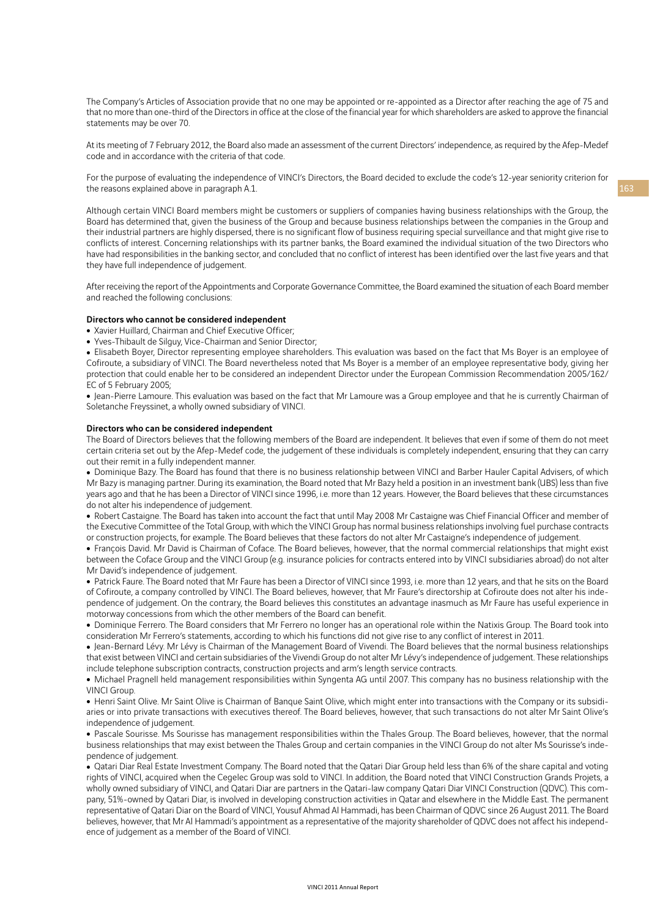The Company's Articles of Association provide that no one may be appointed or re-appointed as a Director after reaching the age of 75 and that no more than one-third of the Directors in office at the close of the financial year for which shareholders are asked to approve the financial statements may be over 70.

At its meeting of 7 February 2012, the Board also made an assessment of the current Directors' independence, as required by the Afep-Medef code and in accordance with the criteria of that code.

For the purpose of evaluating the independence of VINCI's Directors, the Board decided to exclude the code's 12-year seniority criterion for the reasons explained above in paragraph A.1.

Although certain VINCI Board members might be customers or suppliers of companies having business relationships with the Group, the Board has determined that, given the business of the Group and because business relationships between the companies in the Group and their industrial partners are highly dispersed, there is no significant flow of business requiring special surveillance and that might give rise to conflicts of interest. Concerning relationships with its partner banks, the Board examined the individual situation of the two Directors who have had responsibilities in the banking sector, and concluded that no conflict of interest has been identified over the last five years and that they have full independence of judgement.

After receiving the report of the Appointments and Corporate Governance Committee, the Board examined the situation of each Board member and reached the following conclusions:

#### Directors who cannot be considered independent

• Xavier Huillard, Chairman and Chief Executive Officer;

• Yves-Thibault de Silguy, Vice-Chairman and Senior Director;

• Elisabeth Boyer, Director representing employee shareholders. This evaluation was based on the fact that Ms Boyer is an employee of Cofiroute, a subsidiary of VINCI. The Board nevertheless noted that Ms Boyer is a member of an employee representative body, giving her protection that could enable her to be considered an independent Director under the European Commission Recommendation 2005/162/ EC of 5 February 2005;

• Jean-Pierre Lamoure. This evaluation was based on the fact that Mr Lamoure was a Group employee and that he is currently Chairman of Soletanche Freyssinet, a wholly owned subsidiary of VINCI.

#### Directors who can be considered independent

The Board of Directors believes that the following members of the Board are independent. It believes that even if some of them do not meet certain criteria set out by the Afep-Medef code, the judgement of these individuals is completely independent, ensuring that they can carry out their remit in a fully independent manner.

• Dominique Bazy. The Board has found that there is no business relationship between VINCI and Barber Hauler Capital Advisers, of which Mr Bazy is managing partner. During its examination, the Board noted that Mr Bazy held a position in an investment bank (UBS) less than five years ago and that he has been a Director of VINCI since 1996, i.e. more than 12 years. However, the Board believes that these circumstances do not alter his independence of judgement.

• Robert Castaigne. The Board has taken into account the fact that until May 2008 Mr Castaigne was Chief Financial Officer and member of the Executive Committee of the Total Group, with which the VINCI Group has normal business relationships involving fuel purchase contracts or construction projects, for example. The Board believes that these factors do not alter Mr Castaigne's independence of judgement.

• François David. Mr David is Chairman of Coface. The Board believes, however, that the normal commercial relationships that might exist between the Coface Group and the VINCI Group (e.g. insurance policies for contracts entered into by VINCI subsidiaries abroad) do not alter Mr David's independence of judgement.

• Patrick Faure. The Board noted that Mr Faure has been a Director of VINCI since 1993, i.e. more than 12 years, and that he sits on the Board of Cofiroute, a company controlled by VINCI. The Board believes, however, that Mr Faure's directorship at Cofiroute does not alter his independence of judgement. On the contrary, the Board believes this constitutes an advantage inasmuch as Mr Faure has useful experience in motorway concessions from which the other members of the Board can benefit.

• Dominique Ferrero. The Board considers that Mr Ferrero no longer has an operational role within the Natixis Group. The Board took into consideration Mr Ferrero's statements, according to which his functions did not give rise to any conflict of interest in 2011.

<sup>ˇ</sup> Jean-Bernard Lévy. Mr Lévy is Chairman of the Management Board of Vivendi. The Board believes that the normal business relationships that exist between VINCI and certain subsidiaries of the Vivendi Group do not alter Mr Lévy's independence of judgement. These relationships include telephone subscription contracts, construction projects and arm's length service contracts.

• Michael Pragnell held management responsibilities within Syngenta AG until 2007. This company has no business relationship with the VINCI Group.

• Henri Saint Olive. Mr Saint Olive is Chairman of Banque Saint Olive, which might enter into transactions with the Company or its subsidiaries or into private transactions with executives thereof. The Board believes, however, that such transactions do not alter Mr Saint Olive's independence of judgement.

• Pascale Sourisse. Ms Sourisse has management responsibilities within the Thales Group. The Board believes, however, that the normal business relationships that may exist between the Thales Group and certain companies in the VINCI Group do not alter Ms Sourisse's independence of judgement.

• Qatari Diar Real Estate Investment Company. The Board noted that the Qatari Diar Group held less than 6% of the share capital and voting rights of VINCI, acquired when the Cegelec Group was sold to VINCI. In addition, the Board noted that VINCI Construction Grands Projets, a wholly owned subsidiary of VINCI, and Qatari Diar are partners in the Qatari-law company Qatari Diar VINCI Construction (QDVC). This company, 51%-owned by Qatari Diar, is involved in developing construction activities in Qatar and elsewhere in the Middle East. The permanent representative of Qatari Diar on the Board of VINCI, Yousuf Ahmad Al Hammadi, has been Chairman of QDVC since 26 August 2011. The Board believes, however, that Mr Al Hammadi's appointment as a representative of the majority shareholder of QDVC does not affect his independence of judgement as a member of the Board of VINCI.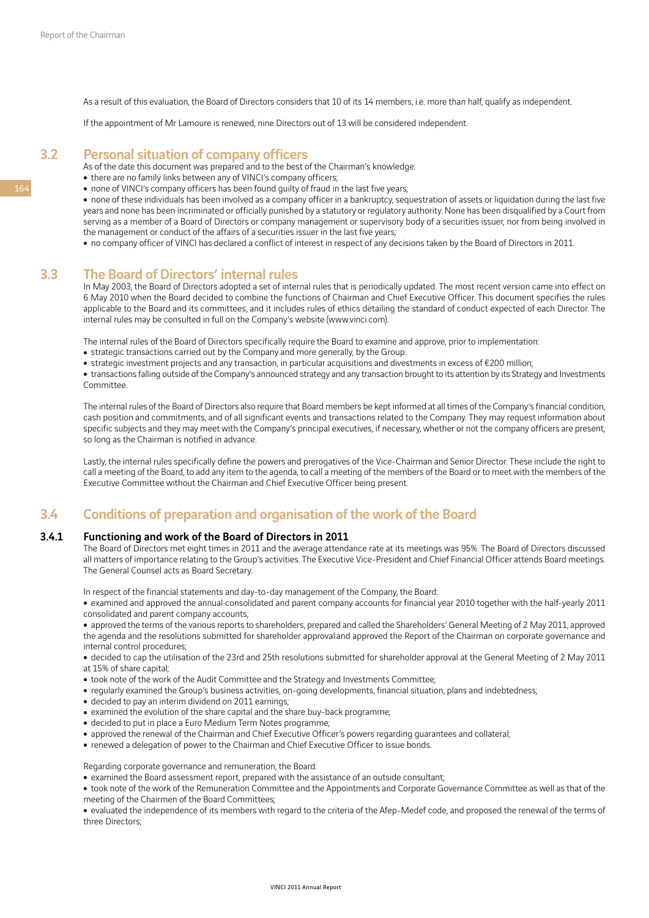As a result of this evaluation, the Board of Directors considers that 10 of its 14 members, i.e. more than half, qualify as independent.

If the appointment of Mr Lamoure is renewed, nine Directors out of 13 will be considered independent.

## 3.2 Personal situation of company officers

- As of the date this document was prepared and to the best of the Chairman's knowledge:
- there are no family links between any of VINCI's company officers;
- none of VINCI's company officers has been found quilty of fraud in the last five years;

• none of these individuals has been involved as a company officer in a bankruptcy, sequestration of assets or liquidation during the last five years and none has been incriminated or officially punished by a statutory or regulatory authority. None has been disqualified by a Court from serving as a member of a Board of Directors or company management or supervisory body of a securities issuer, nor from being involved in the management or conduct of the affairs of a securities issuer in the last five years;

• no company officer of VINCI has declared a conflict of interest in respect of any decisions taken by the Board of Directors in 2011.

## 3.3 The Board of Directors' internal rules

In May 2003, the Board of Directors adopted a set of internal rules that is periodically updated. The most recent version came into effect on 6 May 2010 when the Board decided to combine the functions of Chairman and Chief Executive Officer. This document specifies the rules applicable to the Board and its committees, and it includes rules of ethics detailing the standard of conduct expected of each Director. The internal rules may be consulted in full on the Company's website (www.vinci.com).

The internal rules of the Board of Directors specifically require the Board to examine and approve, prior to implementation:

- strategic transactions carried out by the Company and more generally, by the Group:
- strategic investment projects and any transaction, in particular acquisitions and divestments in excess of €200 million;

• transactions falling outside of the Company's announced strategy and any transaction brought to its attention by its Strategy and Investments Committee.

The internal rules of the Board of Directors also require that Board members be kept informed at all times of the Company's financial condition, cash position and commitments, and of all significant events and transactions related to the Company. They may request information about specific subjects and they may meet with the Company's principal executives, if necessary, whether or not the company officers are present, so long as the Chairman is notified in advance.

Lastly, the internal rules specifically define the powers and prerogatives of the Vice-Chairman and Senior Director. These include the right to call a meeting of the Board, to add any item to the agenda, to call a meeting of the members of the Board or to meet with the members of the Executive Committee without the Chairman and Chief Executive Officer being present.

## 3.4 Conditions of preparation and organisation of the work of the Board

### 3.4.1 Functioning and work of the Board of Directors in 2011

The Board of Directors met eight times in 2011 and the average attendance rate at its meetings was 95%. The Board of Directors discussed all matters of importance relating to the Group's activities. The Executive Vice-President and Chief Financial Officer attends Board meetings. The General Counsel acts as Board Secretary.

In respect of the financial statements and day-to-day management of the Company, the Board:

• examined and approved the annual consolidated and parent company accounts for financial year 2010 together with the half-yearly 2011 consolidated and parent company accounts;

• approved the terms of the various reports to shareholders, prepared and called the Shareholders' General Meeting of 2 May 2011, approved the agenda and the resolutions submitted for shareholder approval and approved the Report of the Chairman on corporate governance and internal control procedures;

• decided to cap the utilisation of the 23rd and 25th resolutions submitted for shareholder approval at the General Meeting of 2 May 2011 at 15% of share capital;

- took note of the work of the Audit Committee and the Strategy and Investments Committee;
- regularly examined the Group's business activities, on-going developments, financial situation, plans and indebtedness;
- decided to pay an interim dividend on 2011 earnings;
- examined the evolution of the share capital and the share buy-back programme;
- decided to put in place a Euro Medium Term Notes programme;
- approved the renewal of the Chairman and Chief Executive Officer's powers regarding guarantees and collateral;
- renewed a delegation of power to the Chairman and Chief Executive Officer to issue bonds.

Regarding corporate governance and remuneration, the Board:

• examined the Board assessment report, prepared with the assistance of an outside consultant;

• took note of the work of the Remuneration Committee and the Appointments and Corporate Governance Committee as well as that of the meeting of the Chairmen of the Board Committees;

• evaluated the independence of its members with regard to the criteria of the Afep-Medef code, and proposed the renewal of the terms of three Directors;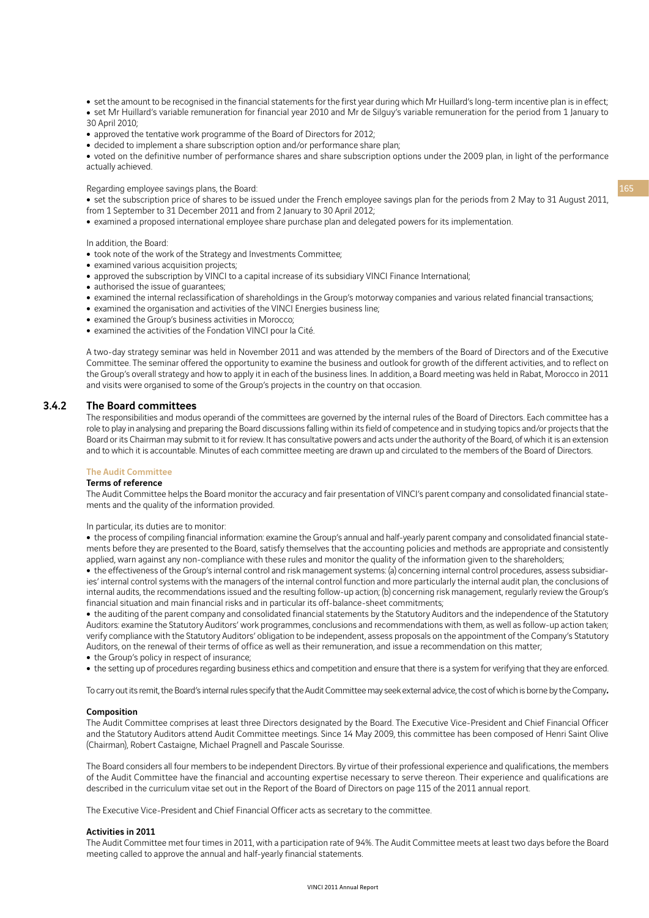- set the amount to be recognised in the financial statements for the first year during which Mr Huillard's long-term incentive plan is in effect;
- set Mr Huillard's variable remuneration for financial year 2010 and Mr de Silguy's variable remuneration for the period from 1 January to 30 April 2010;
- approved the tentative work programme of the Board of Directors for 2012;
- decided to implement a share subscription option and/or performance share plan;

• voted on the definitive number of performance shares and share subscription options under the 2009 plan, in light of the performance actually achieved.

Regarding employee savings plans, the Board:

• set the subscription price of shares to be issued under the French employee savings plan for the periods from 2 May to 31 August 2011, from 1 September to 31 December 2011 and from 2 January to 30 April 2012;

• examined a proposed international employee share purchase plan and delegated powers for its implementation.

In addition, the Board:

- took note of the work of the Strategy and Investments Committee;
- examined various acquisition projects;
- approved the subscription by VINCI to a capital increase of its subsidiary VINCI Finance International;
- authorised the issue of quarantees;
- examined the internal reclassification of shareholdings in the Group's motorway companies and various related financial transactions;
- examined the organisation and activities of the VINCI Energies business line;
- examined the Group's business activities in Morocco;
- examined the activities of the Fondation VINCI pour la Cité.

A two-day strategy seminar was held in November 2011 and was attended by the members of the Board of Directors and of the Executive Committee. The seminar offered the opportunity to examine the business and outlook for growth of the different activities, and to reflect on the Group's overall strategy and how to apply it in each of the business lines. In addition, a Board meeting was held in Rabat, Morocco in 2011 and visits were organised to some of the Group's projects in the country on that occasion.

#### 3.4.2 The Board committees

The responsibilities and modus operandi of the committees are governed by the internal rules of the Board of Directors. Each committee has a role to play in analysing and preparing the Board discussions falling within its field of competence and in studying topics and/or projects that the Board or its Chairman may submit to it for review. It has consultative powers and acts under the authority of the Board, of which it is an extension and to which it is accountable. Minutes of each committee meeting are drawn up and circulated to the members of the Board of Directors.

## The Audit Committee

### Terms of reference

The Audit Committee helps the Board monitor the accuracy and fair presentation of VINCI's parent company and consolidated financial statements and the quality of the information provided.

In particular, its duties are to monitor:

• the process of compiling financial information: examine the Group's annual and half-yearly parent company and consolidated financial statements before they are presented to the Board, satisfy themselves that the accounting policies and methods are appropriate and consistently applied, warn against any non-compliance with these rules and monitor the quality of the information given to the shareholders;

• the effectiveness of the Group's internal control and risk management systems: (a) concerning internal control procedures, assess subsidiaries' internal control systems with the managers of the internal control function and more particularly the internal audit plan, the conclusions of internal audits, the recommendations issued and the resulting follow-up action; (b) concerning risk management, regularly review the Group's financial situation and main financial risks and in particular its off-balance-sheet commitments;

• the auditing of the parent company and consolidated financial statements by the Statutory Auditors and the independence of the Statutory Auditors: examine the Statutory Auditors' work programmes, conclusions and recommendations with them, as well as follow-up action taken; verify compliance with the Statutory Auditors' obligation to be independent, assess proposals on the appointment of the Company's Statutory Auditors, on the renewal of their terms of office as well as their remuneration, and issue a recommendation on this matter;

- the Group's policy in respect of insurance;
- the setting up of procedures regarding business ethics and competition and ensure that there is a system for verifying that they are enforced.

To carry out its remit, the Board's internal rules specify that the Audit Committee may seek external advice, the cost of which is borne by the Company*.*

#### Composition

The Audit Committee comprises at least three Directors designated by the Board. The Executive Vice-President and Chief Financial Officer and the Statutory Auditors attend Audit Committee meetings. Since 14 May 2009, this committee has been composed of Henri Saint Olive (Chairman), Robert Castaigne, Michael Pragnell and Pascale Sourisse.

The Board considers all four members to be independent Directors. By virtue of their professional experience and qualifications, the members of the Audit Committee have the financial and accounting expertise necessary to serve thereon. Their experience and qualifications are described in the curriculum vitae set out in the Report of the Board of Directors on page 115 of the 2011 annual report.

The Executive Vice-President and Chief Financial Officer acts as secretary to the committee.

#### Activities in 2011

The Audit Committee met four times in 2011, with a participation rate of 94%. The Audit Committee meets at least two days before the Board meeting called to approve the annual and half-yearly financial statements.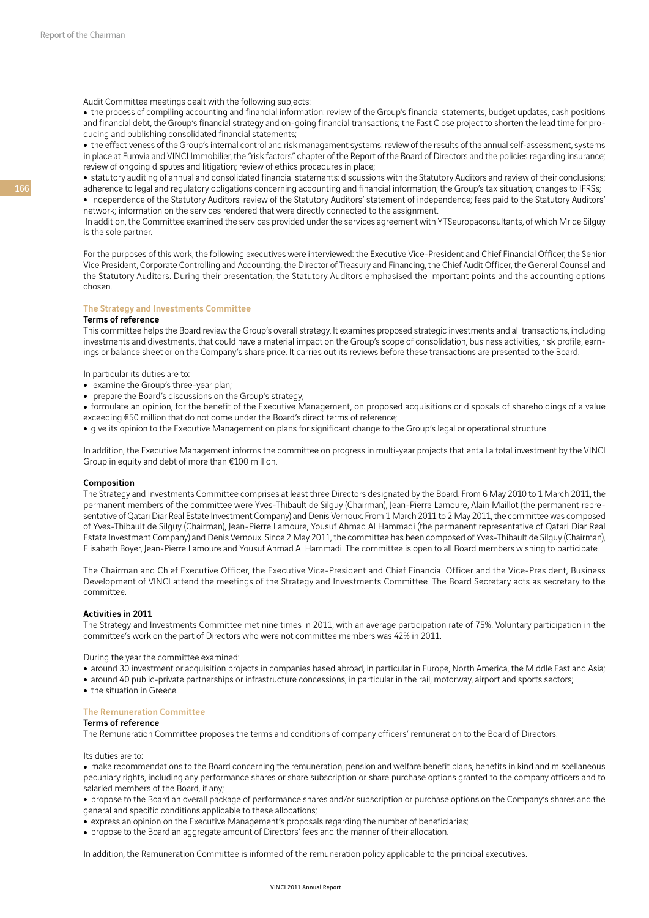Audit Committee meetings dealt with the following subjects:

• the process of compiling accounting and financial information: review of the Group's financial statements, budget updates, cash positions and financial debt, the Group's financial strategy and on-going financial transactions; the Fast Close project to shorten the lead time for producing and publishing consolidated financial statements;

• the effectiveness of the Group's internal control and risk management systems: review of the results of the annual self-assessment, systems in place at Eurovia and VINCI Immobilier, the "risk factors" chapter of the Report of the Board of Directors and the policies regarding insurance; review of ongoing disputes and litigation; review of ethics procedures in place;

• statutory auditing of annual and consolidated financial statements: discussions with the Statutory Auditors and review of their conclusions: adherence to legal and regulatory obligations concerning accounting and financial information; the Group's tax situation; changes to IFRSs; • independence of the Statutory Auditors: review of the Statutory Auditors' statement of independence; fees paid to the Statutory Auditors' network; information on the services rendered that were directly connected to the assignment.

 In addition, the Committee examined the services provided under the services agreement with YTSeuropaconsultants, of which Mr de Silguy is the sole partner.

For the purposes of this work, the following executives were interviewed: the Executive Vice-President and Chief Financial Officer, the Senior Vice President, Corporate Controlling and Accounting, the Director of Treasury and Financing, the Chief Audit Officer, the General Counsel and the Statutory Auditors. During their presentation, the Statutory Auditors emphasised the important points and the accounting options chosen.

#### The Strategy and Investments Committee

#### Terms of reference

This committee helps the Board review the Group's overall strategy. It examines proposed strategic investments and all transactions, including investments and divestments, that could have a material impact on the Group's scope of consolidation, business activities, risk profile, earnings or balance sheet or on the Company's share price. It carries out its reviews before these transactions are presented to the Board.

In particular its duties are to:

- examine the Group's three-year plan;
- prepare the Board's discussions on the Group's strategy;
- formulate an opinion, for the benefit of the Executive Management, on proposed acquisitions or disposals of shareholdings of a value exceeding €50 million that do not come under the Board's direct terms of reference;
- give its opinion to the Executive Management on plans for significant change to the Group's legal or operational structure.

In addition, the Executive Management informs the committee on progress in multi-year projects that entail a total investment by the VINCI Group in equity and debt of more than €100 million.

#### Composition

The Strategy and Investments Committee comprises at least three Directors designated by the Board. From 6 May 2010 to 1 March 2011, the permanent members of the committee were Yves-Thibault de Silguy (Chairman), Jean-Pierre Lamoure, Alain Maillot (the permanent representative of Qatari Diar Real Estate Investment Company) and Denis Vernoux. From 1 March 2011 to 2 May 2011, the committee was composed of Yves-Thibault de Silguy (Chairman), Jean-Pierre Lamoure, Yousuf Ahmad Al Hammadi (the permanent representative of Qatari Diar Real Estate Investment Company) and Denis Vernoux. Since 2 May 2011, the committee has been composed of Yves-Thibault de Silguy (Chairman), Elisabeth Boyer, Jean-Pierre Lamoure and Yousuf Ahmad Al Hammadi. The committee is open to all Board members wishing to participate.

The Chairman and Chief Executive Officer, the Executive Vice-President and Chief Financial Officer and the Vice-President, Business Development of VINCI attend the meetings of the Strategy and Investments Committee. The Board Secretary acts as secretary to the committee.

#### Activities in 2011

The Strategy and Investments Committee met nine times in 2011, with an average participation rate of 75%. Voluntary participation in the committee's work on the part of Directors who were not committee members was 42% in 2011.

During the year the committee examined:

- around 30 investment or acquisition projects in companies based abroad, in particular in Europe, North America, the Middle East and Asia;
- around 40 public-private partnerships or infrastructure concessions, in particular in the rail, motorway, airport and sports sectors;
- the situation in Greece.

#### The Remuneration Committee

Terms of reference

The Remuneration Committee proposes the terms and conditions of company officers' remuneration to the Board of Directors.

Its duties are to:

• make recommendations to the Board concerning the remuneration, pension and welfare benefit plans, benefits in kind and miscellaneous pecuniary rights, including any performance shares or share subscription or share purchase options granted to the company officers and to salaried members of the Board, if any;

<sup>ˇ</sup> propose to the Board an overall package of performance shares and/or subscription or purchase options on the Company's shares and the general and specific conditions applicable to these allocations;

• express an opinion on the Executive Management's proposals regarding the number of beneficiaries;

• propose to the Board an aggregate amount of Directors' fees and the manner of their allocation.

In addition, the Remuneration Committee is informed of the remuneration policy applicable to the principal executives.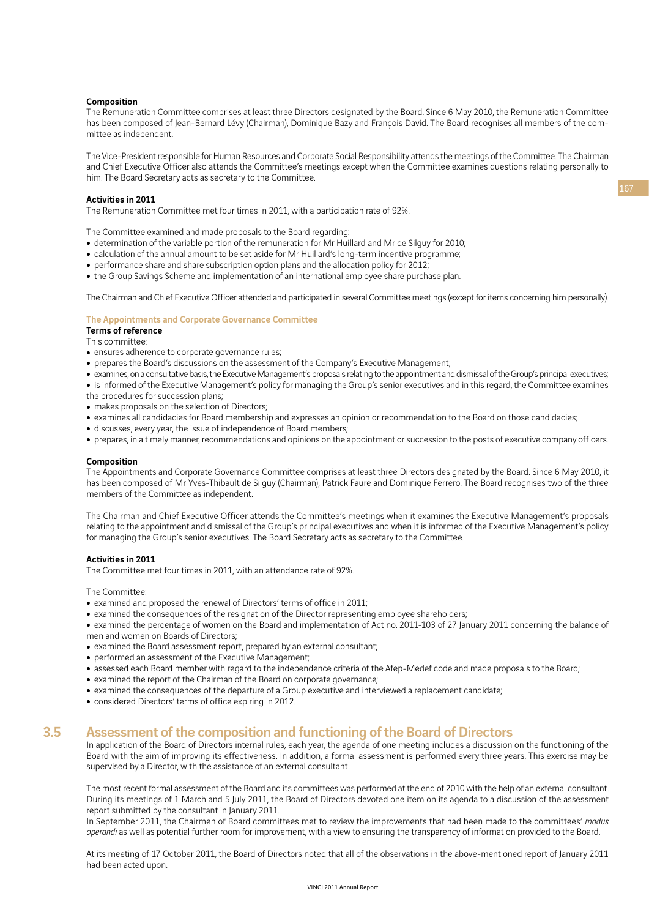#### Composition

The Remuneration Committee comprises at least three Directors designated by the Board. Since 6 May 2010, the Remuneration Committee has been composed of Jean-Bernard Lévy (Chairman), Dominique Bazy and François David. The Board recognises all members of the committee as independent.

The Vice-President responsible for Human Resources and Corporate Social Responsibility attends the meetings of the Committee. The Chairman and Chief Executive Officer also attends the Committee's meetings except when the Committee examines questions relating personally to him. The Board Secretary acts as secretary to the Committee.

#### Activities in 2011

The Remuneration Committee met four times in 2011, with a participation rate of 92%.

The Committee examined and made proposals to the Board regarding:

- determination of the variable portion of the remuneration for Mr Huillard and Mr de Silguy for 2010;
- calculation of the annual amount to be set aside for Mr Huillard's long-term incentive programme;
- $\bullet$  performance share and share subscription option plans and the allocation policy for 2012;
- the Group Savings Scheme and implementation of an international employee share purchase plan.

The Chairman and Chief Executive Officer attended and participated in several Committee meetings (except for items concerning him personally).

#### The Appointments and Corporate Governance Committee

### Terms of reference

This committee:

- ensures adherence to corporate governance rules;
- prepares the Board's discussions on the assessment of the Company's Executive Management;
- <sup>ˇ</sup> examines, on a consultative basis, the Executive Management's proposals relating to the appointment and dismissal of the Group's principal executives;
- is informed of the Executive Management's policy for managing the Group's senior executives and in this regard, the Committee examines the procedures for succession plans;
- makes proposals on the selection of Directors;
- examines all candidacies for Board membership and expresses an opinion or recommendation to the Board on those candidacies;
- discusses, every year, the issue of independence of Board members;
- prepares, in a timely manner, recommendations and opinions on the appointment or succession to the posts of executive company officers.

#### Composition

The Appointments and Corporate Governance Committee comprises at least three Directors designated by the Board. Since 6 May 2010, it has been composed of Mr Yves-Thibault de Silguy (Chairman), Patrick Faure and Dominique Ferrero. The Board recognises two of the three members of the Committee as independent.

The Chairman and Chief Executive Officer attends the Committee's meetings when it examines the Executive Management's proposals relating to the appointment and dismissal of the Group's principal executives and when it is informed of the Executive Management's policy for managing the Group's senior executives. The Board Secretary acts as secretary to the Committee.

#### Activities in 2011

The Committee met four times in 2011, with an attendance rate of 92%.

The Committee:

- examined and proposed the renewal of Directors' terms of office in 2011;
- examined the consequences of the resignation of the Director representing employee shareholders;
- examined the percentage of women on the Board and implementation of Act no. 2011-103 of 27 January 2011 concerning the balance of men and women on Boards of Directors;
- examined the Board assessment report, prepared by an external consultant;
- performed an assessment of the Executive Management;
- assessed each Board member with regard to the independence criteria of the Afep-Medef code and made proposals to the Board;
- examined the report of the Chairman of the Board on corporate governance;
- examined the consequences of the departure of a Group executive and interviewed a replacement candidate;
- considered Directors' terms of office expiring in 2012.

## 3.5 Assessment of the composition and functioning of the Board of Directors

In application of the Board of Directors internal rules, each year, the agenda of one meeting includes a discussion on the functioning of the Board with the aim of improving its effectiveness. In addition, a formal assessment is performed every three years. This exercise may be supervised by a Director, with the assistance of an external consultant.

The most recent formal assessment of the Board and its committees was performed at the end of 2010 with the help of an external consultant. During its meetings of 1 March and 5 July 2011, the Board of Directors devoted one item on its agenda to a discussion of the assessment report submitted by the consultant in January 2011.

In September 2011, the Chairmen of Board committees met to review the improvements that had been made to the committees' *modus operandi* as well as potential further room for improvement, with a view to ensuring the transparency of information provided to the Board.

At its meeting of 17 October 2011, the Board of Directors noted that all of the observations in the above-mentioned report of January 2011 had been acted upon.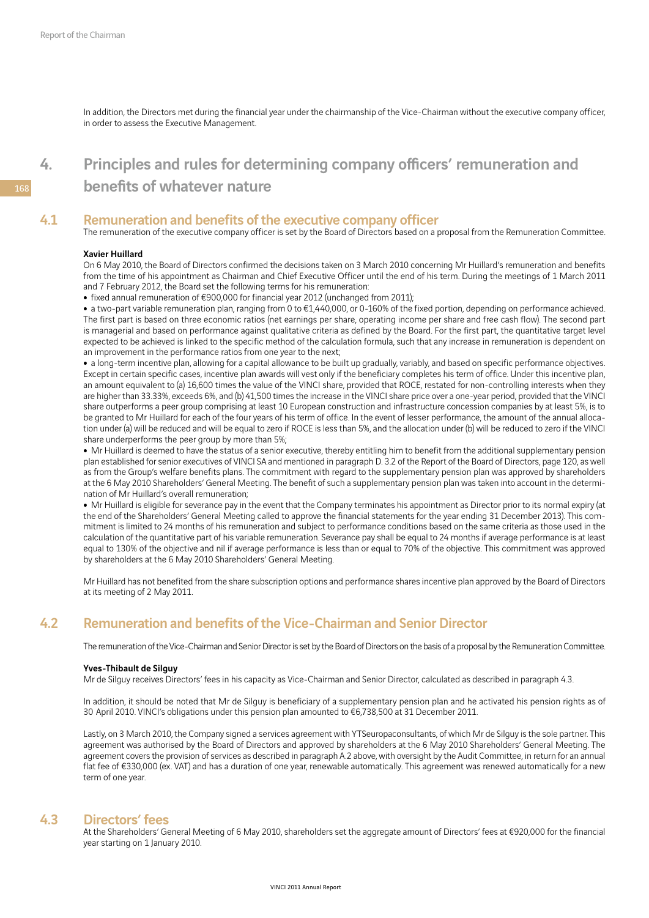In addition, the Directors met during the financial year under the chairmanship of the Vice-Chairman without the executive company officer, in order to assess the Executive Management.

# 4. Principles and rules for determining company officers' remuneration and benefits of whatever nature

## 4.1 Remuneration and benefits of the executive company officer

The remuneration of the executive company officer is set by the Board of Directors based on a proposal from the Remuneration Committee.

#### Xavier Huillard

On 6 May 2010, the Board of Directors confirmed the decisions taken on 3 March 2010 concerning Mr Huillard's remuneration and benefits from the time of his appointment as Chairman and Chief Executive Officer until the end of his term. During the meetings of 1 March 2011 and 7 February 2012, the Board set the following terms for his remuneration:

• fixed annual remuneration of  $€900,000$  for financial year 2012 (unchanged from 2011);

• a two-part variable remuneration plan, ranging from 0 to €1,440,000, or 0-160% of the fixed portion, depending on performance achieved. The first part is based on three economic ratios (net earnings per share, operating income per share and free cash flow). The second part is managerial and based on performance against qualitative criteria as defined by the Board. For the first part, the quantitative target level expected to be achieved is linked to the specific method of the calculation formula, such that any increase in remuneration is dependent on an improvement in the performance ratios from one year to the next;

• a long-term incentive plan, allowing for a capital allowance to be built up gradually, variably, and based on specific performance objectives. Except in certain specific cases, incentive plan awards will vest only if the beneficiary completes his term of office. Under this incentive plan, an amount equivalent to (a) 16,600 times the value of the VINCI share, provided that ROCE, restated for non-controlling interests when they are higher than 33.33%, exceeds 6%, and (b) 41,500 times the increase in the VINCI share price over a one-year period, provided that the VINCI share outperforms a peer group comprising at least 10 European construction and infrastructure concession companies by at least 5%, is to be granted to Mr Huillard for each of the four years of his term of office. In the event of lesser performance, the amount of the annual allocation under (a) will be reduced and will be equal to zero if ROCE is less than 5%, and the allocation under (b) will be reduced to zero if the VINCI share underperforms the peer group by more than 5%;

• Mr Huillard is deemed to have the status of a senior executive, thereby entitling him to benefit from the additional supplementary pension plan established for senior executives of VINCI SA and mentioned in paragraph D. 3.2 of the Report of the Board of Directors, page 120, as well as from the Group's welfare benefits plans. The commitment with regard to the supplementary pension plan was approved by shareholders at the 6 May 2010 Shareholders' General Meeting. The benefit of such a supplementary pension plan was taken into account in the determination of Mr Huillard's overall remuneration;

• Mr Huillard is eligible for severance pay in the event that the Company terminates his appointment as Director prior to its normal expiry (at the end of the Shareholders' General Meeting called to approve the financial statements for the year ending 31 December 2013). This commitment is limited to 24 months of his remuneration and subject to performance conditions based on the same criteria as those used in the calculation of the quantitative part of his variable remuneration. Severance pay shall be equal to 24 months if average performance is at least equal to 130% of the objective and nil if average performance is less than or equal to 70% of the objective. This commitment was approved by shareholders at the 6 May 2010 Shareholders' General Meeting.

Mr Huillard has not benefited from the share subscription options and performance shares incentive plan approved by the Board of Directors at its meeting of 2 May 2011.

## 4.2 Remuneration and benefits of the Vice-Chairman and Senior Director

The remuneration of the Vice-Chairman and Senior Director is set by the Board of Directors on the basis of a proposal by the Remuneration Committee.

#### Yves-Thibault de Silguy

Mr de Silguy receives Directors' fees in his capacity as Vice-Chairman and Senior Director, calculated as described in paragraph 4.3.

In addition, it should be noted that Mr de Silguy is beneficiary of a supplementary pension plan and he activated his pension rights as of 30 April 2010. VINCI's obligations under this pension plan amounted to €6,738,500 at 31 December 2011.

Lastly, on 3 March 2010, the Company signed a services agreement with YTSeuropaconsultants, of which Mr de Silguy is the sole partner. This agreement was authorised by the Board of Directors and approved by shareholders at the 6 May 2010 Shareholders' General Meeting. The agreement covers the provision of services as described in paragraph A.2 above, with oversight by the Audit Committee, in return for an annual flat fee of €330,000 (ex. VAT) and has a duration of one year, renewable automatically. This agreement was renewed automatically for a new term of one year.

## 4.3 Directors' fees

At the Shareholders' General Meeting of 6 May 2010, shareholders set the aggregate amount of Directors' fees at €920,000 for the financial year starting on 1 January 2010.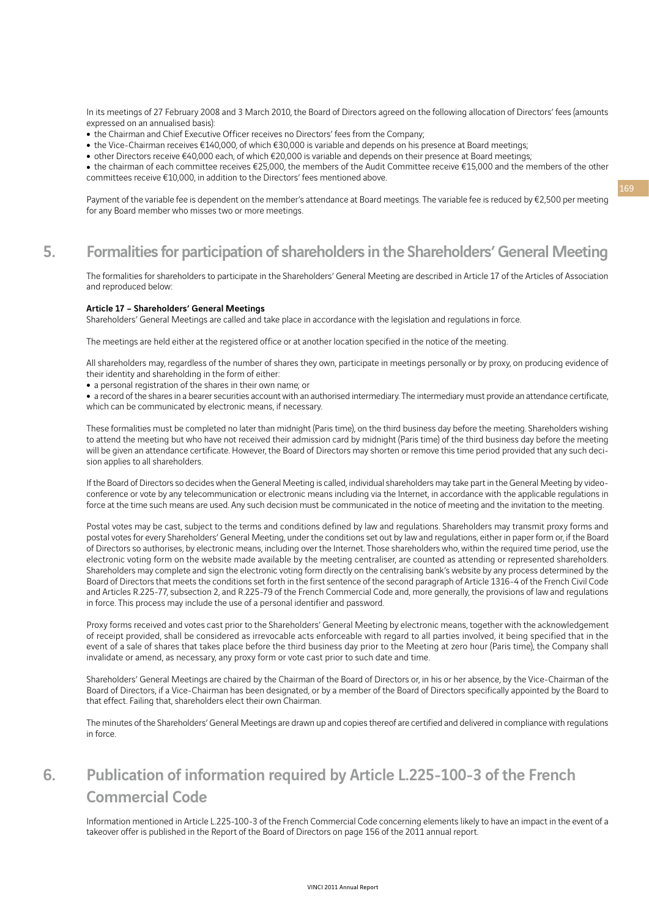In its meetings of 27 February 2008 and 3 March 2010, the Board of Directors agreed on the following allocation of Directors' fees (amounts expressed on an annualised basis):

- the Chairman and Chief Executive Officer receives no Directors' fees from the Company;
- the Vice-Chairman receives €140,000, of which €30,000 is variable and depends on his presence at Board meetings;
- <sup>ˇ</sup> other Directors receive €40,000 each, of which €20,000 is variable and depends on their presence at Board meetings;

• the chairman of each committee receives €25,000, the members of the Audit Committee receive €15,000 and the members of the other committees receive €10,000, in addition to the Directors' fees mentioned above.

Payment of the variable fee is dependent on the member's attendance at Board meetings. The variable fee is reduced by €2,500 per meeting for any Board member who misses two or more meetings.

# 5. Formalities for participation of shareholders in the Shareholders' General Meeting

The formalities for shareholders to participate in the Shareholders' General Meeting are described in Article 17 of the Articles of Association and reproduced below:

#### Article 17 – Shareholders' General Meetings

Shareholders' General Meetings are called and take place in accordance with the legislation and regulations in force.

The meetings are held either at the registered office or at another location specified in the notice of the meeting.

All shareholders may, regardless of the number of shares they own, participate in meetings personally or by proxy, on producing evidence of their identity and shareholding in the form of either:

• a personal registration of the shares in their own name; or

• a record of the shares in a bearer securities account with an authorised intermediary. The intermediary must provide an attendance certificate, which can be communicated by electronic means, if necessary.

These formalities must be completed no later than midnight (Paris time), on the third business day before the meeting. Shareholders wishing to attend the meeting but who have not received their admission card by midnight (Paris time) of the third business day before the meeting will be given an attendance certificate. However, the Board of Directors may shorten or remove this time period provided that any such decision applies to all shareholders.

If the Board of Directors so decides when the General Meeting is called, individual shareholders may take part in the General Meeting by videoconference or vote by any telecommunication or electronic means including via the Internet, in accordance with the applicable regulations in force at the time such means are used. Any such decision must be communicated in the notice of meeting and the invitation to the meeting.

Postal votes may be cast, subject to the terms and conditions defined by law and regulations. Shareholders may transmit proxy forms and postal votes for every Shareholders' General Meeting, under the conditions set out by law and regulations, either in paper form or, if the Board of Directors so authorises, by electronic means, including over the Internet. Those shareholders who, within the required time period, use the electronic voting form on the website made available by the meeting centraliser, are counted as attending or represented shareholders. Shareholders may complete and sign the electronic voting form directly on the centralising bank's website by any process determined by the Board of Directors that meets the conditions set forth in the first sentence of the second paragraph of Article 1316-4 of the French Civil Code and Articles R.225-77, subsection 2, and R.225-79 of the French Commercial Code and, more generally, the provisions of law and regulations in force. This process may include the use of a personal identifier and password.

Proxy forms received and votes cast prior to the Shareholders' General Meeting by electronic means, together with the acknowledgement of receipt provided, shall be considered as irrevocable acts enforceable with regard to all parties involved, it being specified that in the event of a sale of shares that takes place before the third business day prior to the Meeting at zero hour (Paris time), the Company shall invalidate or amend, as necessary, any proxy form or vote cast prior to such date and time.

Shareholders' General Meetings are chaired by the Chairman of the Board of Directors or, in his or her absence, by the Vice-Chairman of the Board of Directors, if a Vice-Chairman has been designated, or by a member of the Board of Directors specifically appointed by the Board to that effect. Failing that, shareholders elect their own Chairman.

The minutes of the Shareholders' General Meetings are drawn up and copies thereof are certified and delivered in compliance with regulations in force.

# 6. Publication of information required by Article L.225-100-3 of the French Commercial Code

Information mentioned in Article L.225-100-3 of the French Commercial Code concerning elements likely to have an impact in the event of a takeover offer is published in the Report of the Board of Directors on page 156 of the 2011 annual report.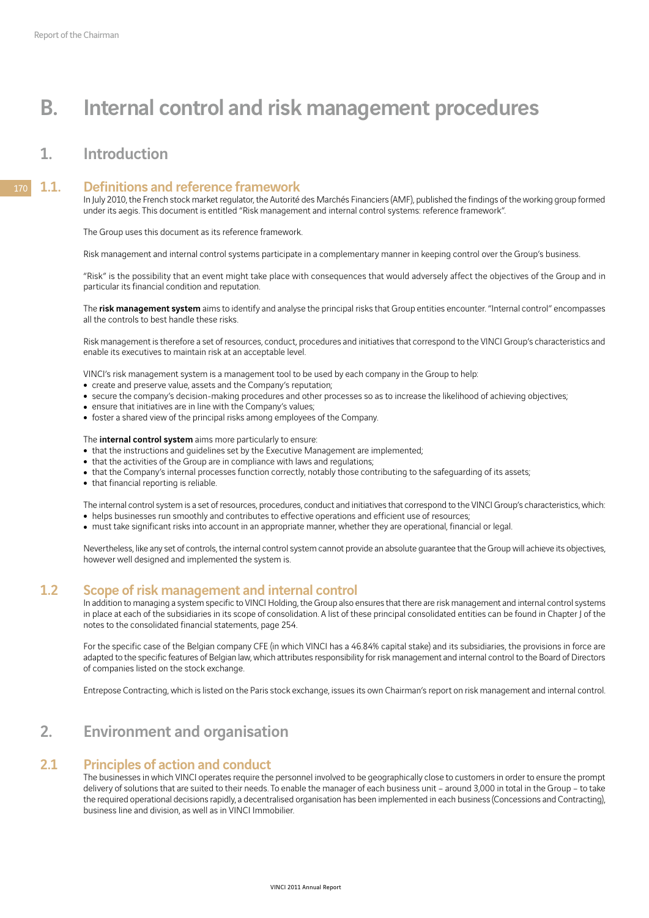# B. Internal control and risk management procedures

# 1. Introduction

#### 1.1. Definitions and reference framework 170

In July 2010, the French stock market regulator, the Autorité des Marchés Financiers (AMF), published the findings of the working group formed under its aegis. This document is entitled "Risk management and internal control systems: reference framework".

The Group uses this document as its reference framework.

Risk management and internal control systems participate in a complementary manner in keeping control over the Group's business.

"Risk" is the possibility that an event might take place with consequences that would adversely affect the objectives of the Group and in particular its financial condition and reputation.

The risk management system aims to identify and analyse the principal risks that Group entities encounter. "Internal control" encompasses all the controls to best handle these risks.

Risk management is therefore a set of resources, conduct, procedures and initiatives that correspond to the VINCI Group's characteristics and enable its executives to maintain risk at an acceptable level.

VINCI's risk management system is a management tool to be used by each company in the Group to help:

- create and preserve value, assets and the Company's reputation;
- secure the company's decision-making procedures and other processes so as to increase the likelihood of achieving objectives;
- ensure that initiatives are in line with the Company's values;
- foster a shared view of the principal risks among employees of the Company.

The internal control system aims more particularly to ensure:

- that the instructions and quidelines set by the Executive Management are implemented;
- that the activities of the Group are in compliance with laws and regulations;
- that the Company's internal processes function correctly, notably those contributing to the safeguarding of its assets;
- that financial reporting is reliable.

The internal control system is a set of resources, procedures, conduct and initiatives that correspond to the VINCI Group's characteristics, which: • helps businesses run smoothly and contributes to effective operations and efficient use of resources;

• must take significant risks into account in an appropriate manner, whether they are operational, financial or legal.

Nevertheless, like any set of controls, the internal control system cannot provide an absolute guarantee that the Group will achieve its objectives, however well designed and implemented the system is.

## 1.2 Scope of risk management and internal control

In addition to managing a system specific to VINCI Holding, the Group also ensures that there are risk management and internal control systems in place at each of the subsidiaries in its scope of consolidation. A list of these principal consolidated entities can be found in Chapter J of the notes to the consolidated financial statements, page 254.

For the specific case of the Belgian company CFE (in which VINCI has a 46.84% capital stake) and its subsidiaries, the provisions in force are adapted to the specific features of Belgian law, which attributes responsibility for risk management and internal control to the Board of Directors of companies listed on the stock exchange.

Entrepose Contracting, which is listed on the Paris stock exchange, issues its own Chairman's report on risk management and internal control.

# 2. Environment and organisation

### 2.1 Principles of action and conduct

The businesses in which VINCI operates require the personnel involved to be geographically close to customers in order to ensure the prompt delivery of solutions that are suited to their needs. To enable the manager of each business unit – around 3,000 in total in the Group – to take the required operational decisions rapidly, a decentralised organisation has been implemented in each business (Concessions and Contracting), business line and division, as well as in VINCI Immobilier.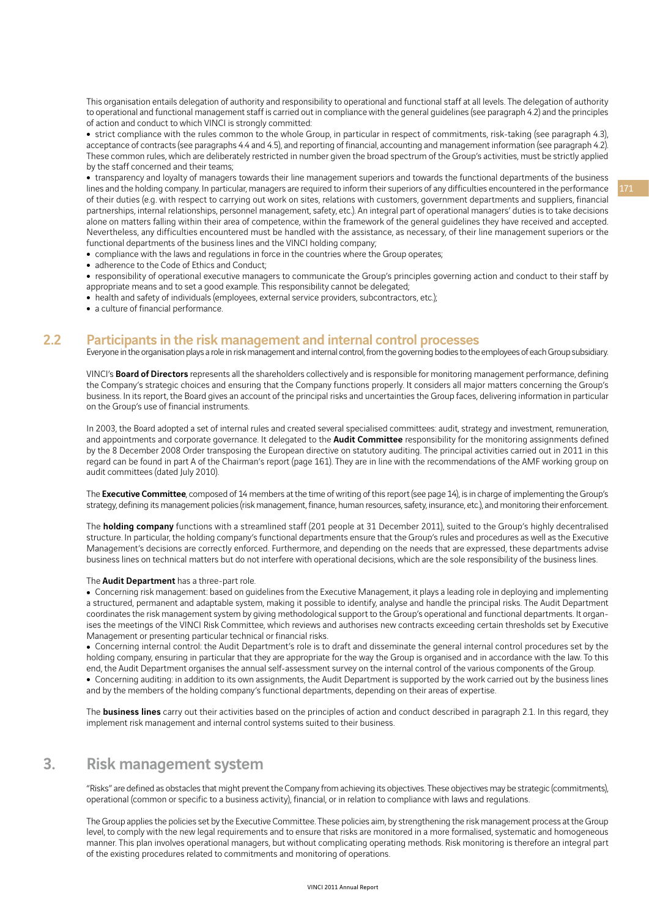This organisation entails delegation of authority and responsibility to operational and functional staff at all levels. The delegation of authority to operational and functional management staff is carried out in compliance with the general guidelines (see paragraph 4.2) and the principles of action and conduct to which VINCI is strongly committed:

• strict compliance with the rules common to the whole Group, in particular in respect of commitments, risk-taking (see paragraph 4.3), acceptance of contracts (see paragraphs 4.4 and 4.5), and reporting of financial, accounting and management information (see paragraph 4.2). These common rules, which are deliberately restricted in number given the broad spectrum of the Group's activities, must be strictly applied by the staff concerned and their teams;

 $\bullet$  transparency and loyalty of managers towards their line management superiors and towards the functional departments of the business lines and the holding company. In particular, managers are required to inform their superiors of any difficulties encountered in the performance of their duties (e.g. with respect to carrying out work on sites, relations with customers, government departments and suppliers, financial partnerships, internal relationships, personnel management, safety, etc.). An integral part of operational managers' duties is to take decisions alone on matters falling within their area of competence, within the framework of the general guidelines they have received and accepted. Nevertheless, any difficulties encountered must be handled with the assistance, as necessary, of their line management superiors or the functional departments of the business lines and the VINCI holding company;

- compliance with the laws and regulations in force in the countries where the Group operates;
- adherence to the Code of Ethics and Conduct;
- responsibility of operational executive managers to communicate the Group's principles governing action and conduct to their staff by appropriate means and to set a good example. This responsibility cannot be delegated;
- health and safety of individuals (employees, external service providers, subcontractors, etc.);
- a culture of financial performance.

## 2.2 Participants in the risk management and internal control processes

Everyone in the organisation plays a role in risk management and internal control, from the governing bodies to the employees of each Group subsidiary.

VINCI's **Board of Directors** represents all the shareholders collectively and is responsible for monitoring management performance, defining the Company's strategic choices and ensuring that the Company functions properly. It considers all major matters concerning the Group's business. In its report, the Board gives an account of the principal risks and uncertainties the Group faces, delivering information in particular on the Group's use of financial instruments.

In 2003, the Board adopted a set of internal rules and created several specialised committees: audit, strategy and investment, remuneration, and appointments and corporate governance. It delegated to the **Audit Committee** responsibility for the monitoring assignments defined by the 8 December 2008 Order transposing the European directive on statutory auditing. The principal activities carried out in 2011 in this regard can be found in part A of the Chairman's report (page 161). They are in line with the recommendations of the AMF working group on audit committees (dated July 2010).

The Executive Committee, composed of 14 members at the time of writing of this report (see page 14), is in charge of implementing the Group's strategy, defining its management policies (risk management, finance, human resources, safety, insurance, etc.), and monitoring their enforcement.

The **holding company** functions with a streamlined staff (201 people at 31 December 2011), suited to the Group's highly decentralised structure. In particular, the holding company's functional departments ensure that the Group's rules and procedures as well as the Executive Management's decisions are correctly enforced. Furthermore, and depending on the needs that are expressed, these departments advise business lines on technical matters but do not interfere with operational decisions, which are the sole responsibility of the business lines.

#### The **Audit Department** has a three-part role.

• Concerning risk management: based on guidelines from the Executive Management, it plays a leading role in deploying and implementing a structured, permanent and adaptable system, making it possible to identify, analyse and handle the principal risks. The Audit Department coordinates the risk management system by giving methodological support to the Group's operational and functional departments. It organises the meetings of the VINCI Risk Committee, which reviews and authorises new contracts exceeding certain thresholds set by Executive Management or presenting particular technical or financial risks.

• Concerning internal control: the Audit Department's role is to draft and disseminate the general internal control procedures set by the holding company, ensuring in particular that they are appropriate for the way the Group is organised and in accordance with the law. To this end, the Audit Department organises the annual self-assessment survey on the internal control of the various components of the Group.

• Concerning auditing: in addition to its own assignments, the Audit Department is supported by the work carried out by the business lines and by the members of the holding company's functional departments, depending on their areas of expertise.

The **business lines** carry out their activities based on the principles of action and conduct described in paragraph 2.1. In this regard, they implement risk management and internal control systems suited to their business.

# 3. Risk management system

"Risks" are defined as obstacles that might prevent the Company from achieving its objectives. These objectives may be strategic (commitments), operational (common or specific to a business activity), financial, or in relation to compliance with laws and regulations.

The Group applies the policies set by the Executive Committee. These policies aim, by strengthening the risk management process at the Group level, to comply with the new legal requirements and to ensure that risks are monitored in a more formalised, systematic and homogeneous manner. This plan involves operational managers, but without complicating operating methods. Risk monitoring is therefore an integral part of the existing procedures related to commitments and monitoring of operations.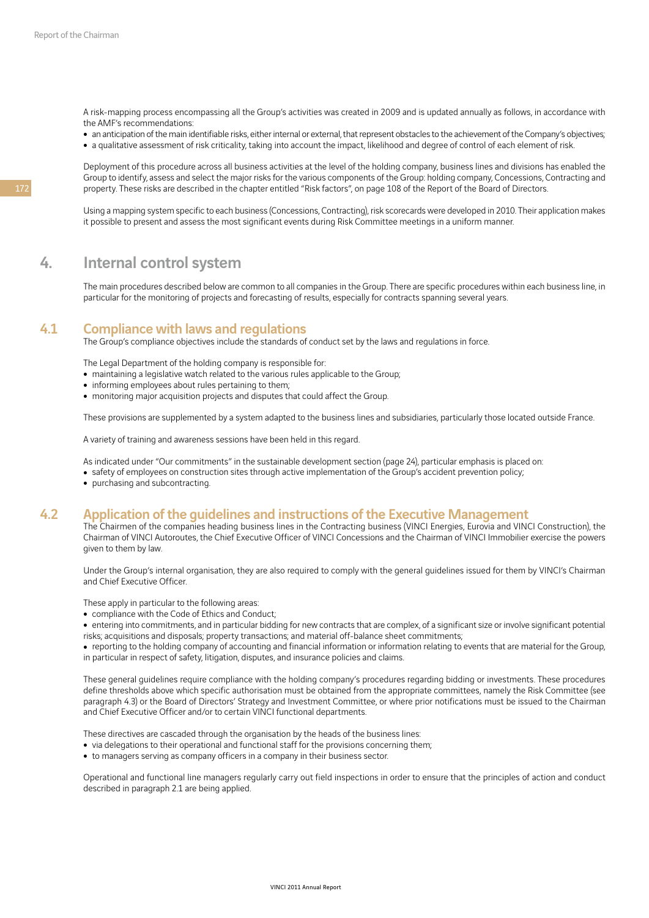A risk-mapping process encompassing all the Group's activities was created in 2009 and is updated annually as follows, in accordance with the AMF's recommendations:

• an anticipation of the main identifiable risks, either internal or external, that represent obstacles to the achievement of the Company's objectives;

• a qualitative assessment of risk criticality, taking into account the impact, likelihood and degree of control of each element of risk.

Deployment of this procedure across all business activities at the level of the holding company, business lines and divisions has enabled the Group to identify, assess and select the major risks for the various components of the Group: holding company, Concessions, Contracting and property. These risks are described in the chapter entitled "Risk factors", on page 108 of the Report of the Board of Directors.

Using a mapping system specific to each business (Concessions, Contracting), risk scorecards were developed in 2010. Their application makes it possible to present and assess the most significant events during Risk Committee meetings in a uniform manner.

# 4. Internal control system

The main procedures described below are common to all companies in the Group. There are specific procedures within each business line, in particular for the monitoring of projects and forecasting of results, especially for contracts spanning several years.

## 4.1 Compliance with laws and regulations

The Group's compliance objectives include the standards of conduct set by the laws and regulations in force.

The Legal Department of the holding company is responsible for:

- maintaining a legislative watch related to the various rules applicable to the Group;
- informing employees about rules pertaining to them;
- monitoring major acquisition projects and disputes that could affect the Group.

These provisions are supplemented by a system adapted to the business lines and subsidiaries, particularly those located outside France.

A variety of training and awareness sessions have been held in this regard.

As indicated under "Our commitments" in the sustainable development section (page 24), particular emphasis is placed on:

- safety of employees on construction sites through active implementation of the Group's accident prevention policy;
- purchasing and subcontracting.

## 4.2 Application of the guidelines and instructions of the Executive Management

The Chairmen of the companies heading business lines in the Contracting business (VINCI Energies, Eurovia and VINCI Construction), the Chairman of VINCI Autoroutes, the Chief Executive Officer of VINCI Concessions and the Chairman of VINCI Immobilier exercise the powers given to them by law.

Under the Group's internal organisation, they are also required to comply with the general guidelines issued for them by VINCI's Chairman and Chief Executive Officer.

These apply in particular to the following areas:

- compliance with the Code of Ethics and Conduct;
- entering into commitments, and in particular bidding for new contracts that are complex, of a significant size or involve significant potential risks; acquisitions and disposals; property transactions; and material off-balance sheet commitments;
- reporting to the holding company of accounting and financial information or information relating to events that are material for the Group, in particular in respect of safety, litigation, disputes, and insurance policies and claims.

These general guidelines require compliance with the holding company's procedures regarding bidding or investments. These procedures define thresholds above which specific authorisation must be obtained from the appropriate committees, namely the Risk Committee (see paragraph 4.3) or the Board of Directors' Strategy and Investment Committee, or where prior notifications must be issued to the Chairman and Chief Executive Officer and/or to certain VINCI functional departments.

These directives are cascaded through the organisation by the heads of the business lines:

- via delegations to their operational and functional staff for the provisions concerning them;
- to managers serving as company officers in a company in their business sector.

Operational and functional line managers regularly carry out field inspections in order to ensure that the principles of action and conduct described in paragraph 2.1 are being applied.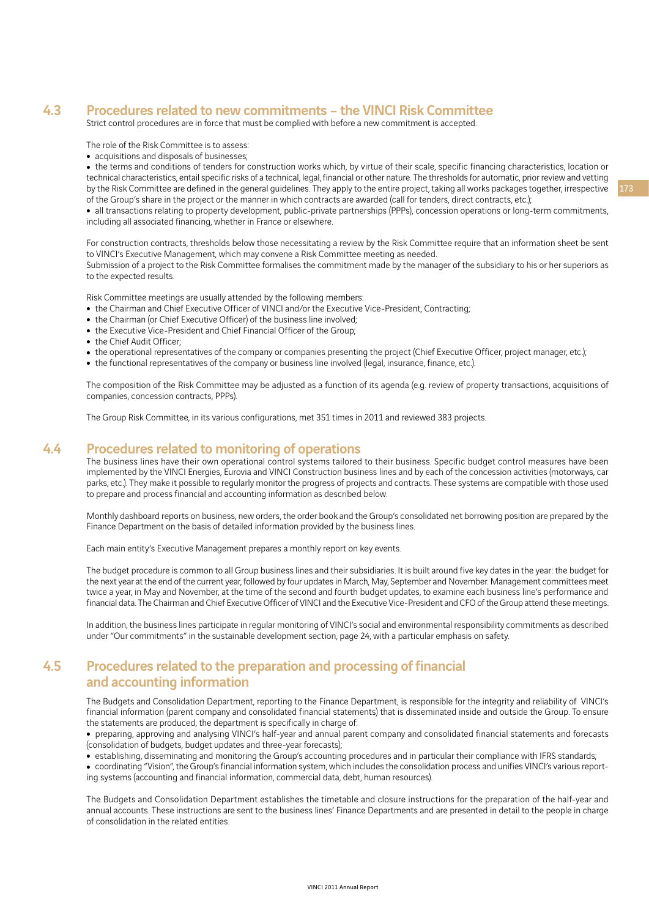# 4.3 Procedures related to new commitments – the VINCI Risk Committee

Strict control procedures are in force that must be complied with before a new commitment is accepted.

The role of the Risk Committee is to assess:

• acquisitions and disposals of businesses;

• the terms and conditions of tenders for construction works which, by virtue of their scale, specific financing characteristics, location or technical characteristics, entail specific risks of a technical, legal, financial or other nature. The thresholds for automatic, prior review and vetting by the Risk Committee are defined in the general guidelines. They apply to the entire project, taking all works packages together, irrespective of the Group's share in the project or the manner in which contracts are awarded (call for tenders, direct contracts, etc.);

• all transactions relating to property development, public-private partnerships (PPPs), concession operations or long-term commitments, including all associated financing, whether in France or elsewhere.

For construction contracts, thresholds below those necessitating a review by the Risk Committee require that an information sheet be sent to VINCI's Executive Management, which may convene a Risk Committee meeting as needed. Submission of a project to the Risk Committee formalises the commitment made by the manager of the subsidiary to his or her superiors as to the expected results.

Risk Committee meetings are usually attended by the following members:

- the Chairman and Chief Executive Officer of VINCI and/or the Executive Vice-President, Contracting;
- the Chairman (or Chief Executive Officer) of the business line involved:
- the Executive Vice-President and Chief Financial Officer of the Group;
- the Chief Audit Officer;
- the operational representatives of the company or companies presenting the project (Chief Executive Officer, project manager, etc.);
- the functional representatives of the company or business line involved (legal, insurance, finance, etc.).

The composition of the Risk Committee may be adjusted as a function of its agenda (e.g. review of property transactions, acquisitions of companies, concession contracts, PPPs).

The Group Risk Committee, in its various configurations, met 351 times in 2011 and reviewed 383 projects.

## 4.4 Procedures related to monitoring of operations

The business lines have their own operational control systems tailored to their business. Specific budget control measures have been implemented by the VINCI Energies, Eurovia and VINCI Construction business lines and by each of the concession activities (motorways, car parks, etc.). They make it possible to regularly monitor the progress of projects and contracts. These systems are compatible with those used to prepare and process financial and accounting information as described below.

Monthly dashboard reports on business, new orders, the order book and the Group's consolidated net borrowing position are prepared by the Finance Department on the basis of detailed information provided by the business lines.

Each main entity's Executive Management prepares a monthly report on key events.

The budget procedure is common to all Group business lines and their subsidiaries. It is built around five key dates in the year: the budget for the next year at the end of the current year, followed by four updates in March, May, September and November. Management committees meet twice a year, in May and November, at the time of the second and fourth budget updates, to examine each business line's performance and financial data. The Chairman and Chief Executive Officer of VINCI and the Executive Vice-President and CFO of the Group attend these meetings.

In addition, the business lines participate in regular monitoring of VINCI's social and environmental responsibility commitments as described under "Our commitments" in the sustainable development section, page 24, with a particular emphasis on safety.

# 4.5 Procedures related to the preparation and processing of financial and accounting information

The Budgets and Consolidation Department, reporting to the Finance Department, is responsible for the integrity and reliability of VINCI's financial information (parent company and consolidated financial statements) that is disseminated inside and outside the Group. To ensure the statements are produced, the department is specifically in charge of:

• preparing, approving and analysing VINCI's half-year and annual parent company and consolidated financial statements and forecasts (consolidation of budgets, budget updates and three-year forecasts);

• establishing, disseminating and monitoring the Group's accounting procedures and in particular their compliance with IFRS standards;

<sup>ˇ</sup> coordinating "Vision", the Group's financial information system, which includes the consolidation process and unifies VINCI's various reporting systems (accounting and financial information, commercial data, debt, human resources).

The Budgets and Consolidation Department establishes the timetable and closure instructions for the preparation of the half-year and annual accounts. These instructions are sent to the business lines' Finance Departments and are presented in detail to the people in charge of consolidation in the related entities.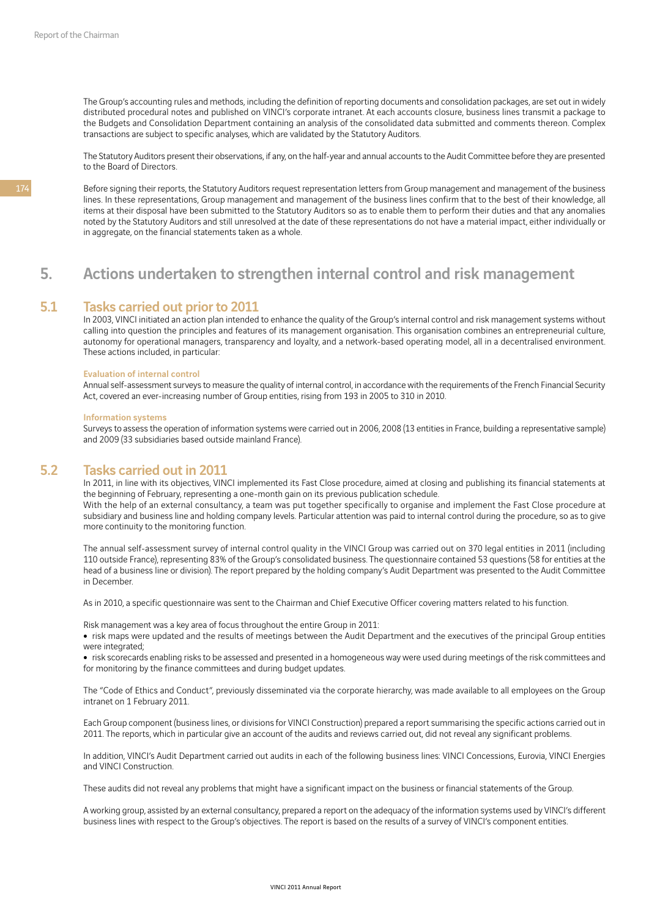The Group's accounting rules and methods, including the definition of reporting documents and consolidation packages, are set out in widely distributed procedural notes and published on VINCI's corporate intranet. At each accounts closure, business lines transmit a package to the Budgets and Consolidation Department containing an analysis of the consolidated data submitted and comments thereon. Complex transactions are subject to specific analyses, which are validated by the Statutory Auditors.

The Statutory Auditors present their observations, if any, on the half-year and annual accounts to the Audit Committee before they are presented to the Board of Directors.

Before signing their reports, the Statutory Auditors request representation letters from Group management and management of the business lines. In these representations, Group management and management of the business lines confirm that to the best of their knowledge, all items at their disposal have been submitted to the Statutory Auditors so as to enable them to perform their duties and that any anomalies noted by the Statutory Auditors and still unresolved at the date of these representations do not have a material impact, either individually or in aggregate, on the financial statements taken as a whole.

# 5. Actions undertaken to strengthen internal control and risk management

## 5.1 Tasks carried out prior to 2011

In 2003, VINCI initiated an action plan intended to enhance the quality of the Group's internal control and risk management systems without calling into question the principles and features of its management organisation. This organisation combines an entrepreneurial culture, autonomy for operational managers, transparency and loyalty, and a network-based operating model, all in a decentralised environment. These actions included, in particular:

#### Evaluation of internal control

Annual self-assessment surveys to measure the quality of internal control, in accordance with the requirements of the French Financial Security Act, covered an ever-increasing number of Group entities, rising from 193 in 2005 to 310 in 2010.

#### Information systems

Surveys to assess the operation of information systems were carried out in 2006, 2008 (13 entities in France, building a representative sample) and 2009 (33 subsidiaries based outside mainland France).

## 5.2 Tasks carried out in 2011

In 2011, in line with its objectives, VINCI implemented its Fast Close procedure, aimed at closing and publishing its financial statements at the beginning of February, representing a one-month gain on its previous publication schedule.

With the help of an external consultancy, a team was put together specifically to organise and implement the Fast Close procedure at subsidiary and business line and holding company levels. Particular attention was paid to internal control during the procedure, so as to give more continuity to the monitoring function.

The annual self-assessment survey of internal control quality in the VINCI Group was carried out on 370 legal entities in 2011 (including 110 outside France), representing 83% of the Group's consolidated business. The questionnaire contained 53 questions (58 for entities at the head of a business line or division). The report prepared by the holding company's Audit Department was presented to the Audit Committee in December.

As in 2010, a specific questionnaire was sent to the Chairman and Chief Executive Officer covering matters related to his function.

Risk management was a key area of focus throughout the entire Group in 2011:

• risk maps were updated and the results of meetings between the Audit Department and the executives of the principal Group entities were integrated:

• risk scorecards enabling risks to be assessed and presented in a homogeneous way were used during meetings of the risk committees and for monitoring by the finance committees and during budget updates.

The "Code of Ethics and Conduct", previously disseminated via the corporate hierarchy, was made available to all employees on the Group intranet on 1 February 2011.

Each Group component (business lines, or divisions for VINCI Construction) prepared a report summarising the specific actions carried out in 2011. The reports, which in particular give an account of the audits and reviews carried out, did not reveal any significant problems.

In addition, VINCI's Audit Department carried out audits in each of the following business lines: VINCI Concessions, Eurovia, VINCI Energies and VINCI Construction.

These audits did not reveal any problems that might have a significant impact on the business or financial statements of the Group.

A working group, assisted by an external consultancy, prepared a report on the adequacy of the information systems used by VINCI's different business lines with respect to the Group's objectives. The report is based on the results of a survey of VINCI's component entities.